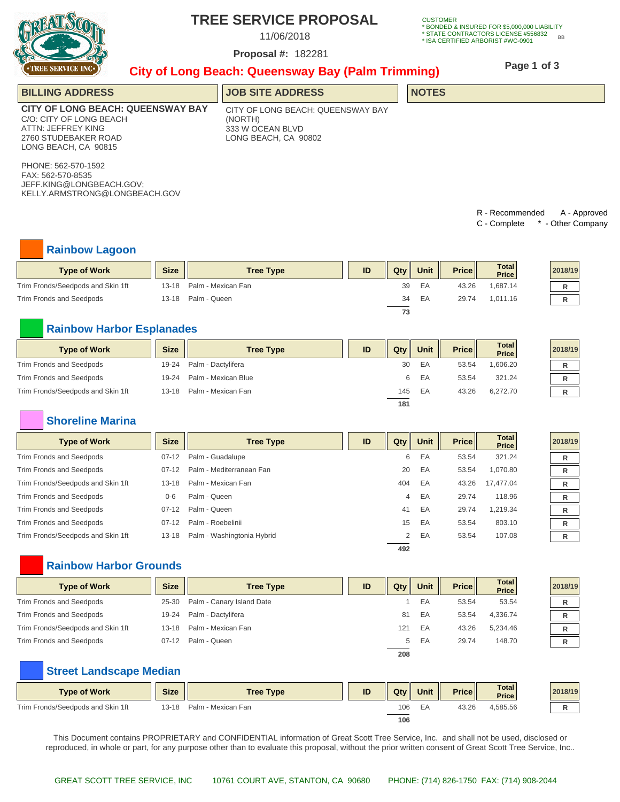

# **TREE SERVICE PROPOSAL**

11/06/2018

182281 **Proposal #:**

**CUSTOMER** \* BONDED & INSURED FOR \$5,000,000 LIABILITY<br>\* STATE CONTRACTORS LICENSE #556832 BB<br>\* ISA CERTIFIED ARBORIST #WC-0901

## **City of Long Beach: Queensway Bay (Palm Trimming)**

**Page 1 of 3**

| <b>BILLING ADDRESS</b>                                                                                                                    | <b>JOB SITE ADDRESS</b>                                                                  | <b>NOTES</b> |
|-------------------------------------------------------------------------------------------------------------------------------------------|------------------------------------------------------------------------------------------|--------------|
| <b>CITY OF LONG BEACH: QUEENSWAY BAY</b><br>C/O: CITY OF LONG BEACH<br>ATTN: JEFFREY KING<br>2760 STUDEBAKER ROAD<br>LONG BEACH, CA 90815 | CITY OF LONG BEACH: QUEENSWAY BAY<br>(NORTH)<br>333 W OCEAN BLVD<br>LONG BEACH. CA 90802 |              |
| PHONE: 562-570-1592<br>FAX: 562-570-8535<br>JEFF.KING@LONGBEACH.GOV;<br>KELLY.ARMSTRONG@LONGBEACH.GOV                                     |                                                                                          |              |

R - Recommended A - Approved C - Complete \* - Other Company

### **Rainbow Lagoon**

| <b>Type of Work</b>               | <b>Size</b> | <b>Tree Type</b>   | ID | $Q$ ty | Unit | Price II | <b>Total</b><br><b>Price</b> | 2018/19 |
|-----------------------------------|-------------|--------------------|----|--------|------|----------|------------------------------|---------|
| Trim Fronds/Seedpods and Skin 1ft | 13-18       | Palm - Mexican Fan |    | 39     | EA   | 43.26    | 1,687.14                     |         |
| Trim Fronds and Seedpods          | 13-18       | Palm - Queen       |    | 34     | EA   | 29.74    | 1.011.16                     |         |
|                                   |             |                    |    | 73     |      |          |                              |         |

### **Rainbow Harbor Esplanades**

| <b>Type of Work</b>               | <b>Size</b> | <b>Tree Type</b>    | ID | Qtv | Unit | Price | <b>Total</b><br><b>Price</b> | 2018/19 |
|-----------------------------------|-------------|---------------------|----|-----|------|-------|------------------------------|---------|
| Trim Fronds and Seedpods          | 19-24       | Palm - Dactylifera  |    | 30  | EA   | 53.54 | 1.606.20                     |         |
| Trim Fronds and Seedpods          | $19-24$     | Palm - Mexican Blue |    | 6   | ΕA   | 53.54 | 321.24                       |         |
| Trim Fronds/Seedpods and Skin 1ft | $13 - 18$   | Palm - Mexican Fan  |    | 145 | EA   | 43.26 | 6.272.70                     |         |
|                                   |             |                     |    | 181 |      |       |                              |         |

### **Shoreline Marina**

| <b>Type of Work</b>               | <b>Size</b> | <b>Tree Type</b>           | ID | $Q$ ty | Unit | <b>Price</b> | Total<br>Price | 2018/19 |
|-----------------------------------|-------------|----------------------------|----|--------|------|--------------|----------------|---------|
| Trim Fronds and Seedpods          | $07-12$     | Palm - Guadalupe           |    | 6      | EA   | 53.54        | 321.24         | R       |
| Trim Fronds and Seedpods          | $07-12$     | Palm - Mediterranean Fan   |    | 20     | EA   | 53.54        | 1,070.80       | R       |
| Trim Fronds/Seedpods and Skin 1ft | $13 - 18$   | Palm - Mexican Fan         |    | 404    | EA   | 43.26        | 17.477.04      | R       |
| Trim Fronds and Seedpods          | $0 - 6$     | Palm - Queen               |    | 4      | EA   | 29.74        | 118.96         | R       |
| Trim Fronds and Seedpods          | $07-12$     | Palm - Queen               |    | 41     | EA   | 29.74        | 1,219.34       | R       |
| Trim Fronds and Seedpods          | $07-12$     | Palm - Roebelinii          |    | 15     | EA   | 53.54        | 803.10         | R       |
| Trim Fronds/Seedpods and Skin 1ft | $13 - 18$   | Palm - Washingtonia Hybrid |    | 2      | EA   | 53.54        | 107.08         | R       |
|                                   |             |                            |    | 492    |      |              |                |         |

### **Rainbow Harbor Grounds**

| <b>Type of Work</b>               | <b>Size</b> | <b>Tree Type</b>          | ID | Qtv | Unit | Price | <b>Total</b><br><b>Price</b> | 2018/19 |  |
|-----------------------------------|-------------|---------------------------|----|-----|------|-------|------------------------------|---------|--|
| Trim Fronds and Seedpods          | 25-30       | Palm - Canary Island Date |    |     | EA   | 53.54 | 53.54                        |         |  |
| Trim Fronds and Seedpods          | 19-24       | Palm - Dactylifera        |    | 81  | ΕA   | 53.54 | 4.336.74                     |         |  |
| Trim Fronds/Seedpods and Skin 1ft | 13-18       | Palm - Mexican Fan        |    | 121 | EA   | 43.26 | 5.234.46                     |         |  |
| Trim Fronds and Seedpods          | $07-12$     | Palm - Queen              |    | 5   | ΕA   | 29.74 | 148.70                       |         |  |

## **Street Landscape Median**

| <b>Type of Work</b>               | <b>Size</b> | <b>Tree Type</b>   | ID | Qtv | Unit | <b>Price</b> | Total<br><b>Price</b> | 2018/19 |
|-----------------------------------|-------------|--------------------|----|-----|------|--------------|-----------------------|---------|
| Trim Fronds/Seedpods and Skin 1ft | $13 - 18$   | Palm - Mexican Fan |    | 106 | EA   | 43.26        | 4,585.56              |         |
|                                   |             |                    |    | 106 |      |              |                       |         |

This Document contains PROPRIETARY and CONFIDENTIAL information of Great Scott Tree Service, Inc. and shall not be used, disclosed or reproduced, in whole or part, for any purpose other than to evaluate this proposal, without the prior written consent of Great Scott Tree Service, Inc..

**208**

| 2018/19 |
|---------|
| R       |
| R       |
| R       |
| R       |
| R       |
| R       |
|         |

| 2018/19 |  |
|---------|--|
| R       |  |
| R       |  |
| R       |  |
| R       |  |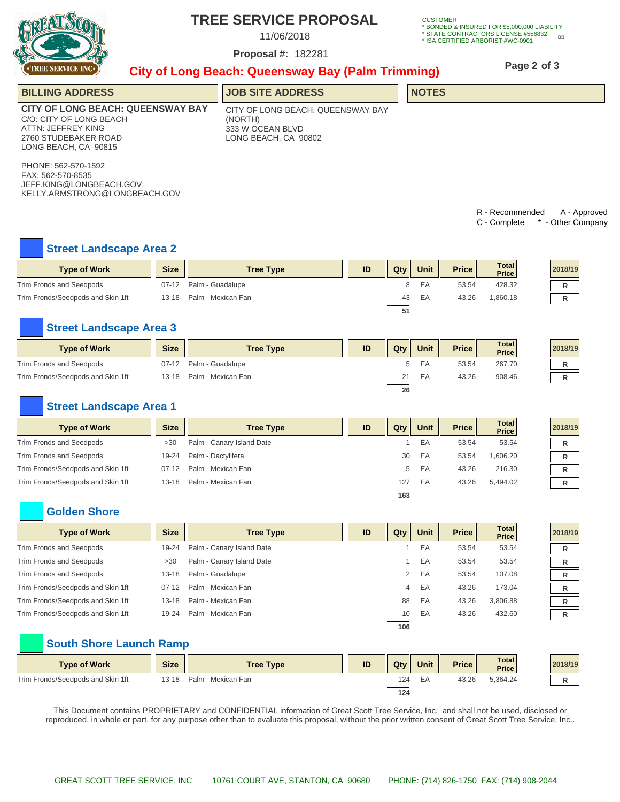

# **TREE SERVICE PROPOSAL**

11/06/2018

182281 **Proposal #:**

**CUSTOMER** \* BONDED & INSURED FOR \$5,000,000 LIABILITY \* STATE CONTRACTORS LICENSE #556832 \* ISA CERTIFIED ARBORIST #WC-0901 BB

# **City of Long Beach: Queensway Bay (Palm Trimming)**

**Page 2 of 3**

| <b>THEFT OFFICIAL THAT THE</b>                                                                                                            | City of Long Beach: Queensway Bay (Palm Trimming) |                                                                                          |    |     |              |              |                                 |                                 |  |  |  |
|-------------------------------------------------------------------------------------------------------------------------------------------|---------------------------------------------------|------------------------------------------------------------------------------------------|----|-----|--------------|--------------|---------------------------------|---------------------------------|--|--|--|
| <b>BILLING ADDRESS</b>                                                                                                                    |                                                   | <b>JOB SITE ADDRESS</b>                                                                  |    |     | <b>NOTES</b> |              |                                 |                                 |  |  |  |
| <b>CITY OF LONG BEACH: QUEENSWAY BAY</b><br>C/O: CITY OF LONG BEACH<br>ATTN: JEFFREY KING<br>2760 STUDEBAKER ROAD<br>LONG BEACH, CA 90815 |                                                   | CITY OF LONG BEACH: QUEENSWAY BAY<br>(NORTH)<br>333 W OCEAN BLVD<br>LONG BEACH, CA 90802 |    |     |              |              |                                 |                                 |  |  |  |
| PHONE: 562-570-1592<br>FAX: 562-570-8535<br>JEFF.KING@LONGBEACH.GOV;<br>KELLY.ARMSTRONG@LONGBEACH.GOV                                     |                                                   |                                                                                          |    |     |              |              |                                 |                                 |  |  |  |
|                                                                                                                                           |                                                   |                                                                                          |    |     |              |              | R - Recommended<br>C - Complete | A - Approved<br>- Other Company |  |  |  |
| <b>Street Landscape Area 2</b>                                                                                                            |                                                   |                                                                                          |    |     |              |              |                                 |                                 |  |  |  |
| <b>Type of Work</b>                                                                                                                       | <b>Size</b>                                       | <b>Tree Type</b>                                                                         | ID | Qty | Unit         | <b>Price</b> | <b>Total</b><br><b>Price</b>    | 2018/19                         |  |  |  |
| Trim Fronds and Seedpods                                                                                                                  | $07-12$                                           | Palm - Guadalupe                                                                         |    | 8   | EA           | 53.54        | 428.32                          | R                               |  |  |  |

**51**

Trim Fronds/Seedpods and Skin 1ft 13-18 Palm - Mexican Fan 43 EA 43.26 1,860.18 **R**

### **Street Landscape Area 3**

| <b>Type of Work</b>               | <b>Size</b> | <b>Tree Type</b>   | ID | Qty | Unit | Price | Total<br><b>Price</b> | 2018/19 |
|-----------------------------------|-------------|--------------------|----|-----|------|-------|-----------------------|---------|
| Trim Fronds and Seedpods          | $07-12$     | Palm - Guadalupe   |    | 5.  | ΕA   | 53.54 | 267.70                |         |
| Trim Fronds/Seedpods and Skin 1ft | $13 - 18$   | Palm - Mexican Fan |    | 21  | EA   | 43.26 | 908.46                |         |
|                                   |             |                    |    | 26  |      |       |                       |         |

### **Street Landscape Area 1**

| <b>Type of Work</b>               | <b>Size</b> | <b>Tree Type</b>          | ID | $Q$ ty | <b>Unit</b> | <b>Price</b> | <b>Total</b><br>Price | 2018/19 |
|-----------------------------------|-------------|---------------------------|----|--------|-------------|--------------|-----------------------|---------|
| Trim Fronds and Seedpods          | >30         | Palm - Canary Island Date |    |        | EA          | 53.54        | 53.54                 |         |
| Trim Fronds and Seedpods          | 19-24       | Palm - Dactylifera        |    | 30     | EA          | 53.54        | 1,606.20              |         |
| Trim Fronds/Seedpods and Skin 1ft | $07-12$     | Palm - Mexican Fan        |    | 5      | EA          | 43.26        | 216.30                |         |
| Trim Fronds/Seedpods and Skin 1ft | $13 - 18$   | Palm - Mexican Fan        |    | 127    | EA          | 43.26        | 5.494.02              |         |
|                                   |             |                           |    | 163    |             |              |                       |         |

### **Golden Shore**

| <b>Type of Work</b>               | <b>Size</b> | <b>Tree Type</b>          | ID | $Q$ ty | <b>Unit</b> | Price | Total<br>Price | 2018/19 |
|-----------------------------------|-------------|---------------------------|----|--------|-------------|-------|----------------|---------|
| Trim Fronds and Seedpods          | 19-24       | Palm - Canary Island Date |    |        | EA          | 53.54 | 53.54          |         |
| Trim Fronds and Seedpods          | >30         | Palm - Canary Island Date |    |        | EA          | 53.54 | 53.54          | R       |
| Trim Fronds and Seedpods          | $13 - 18$   | Palm - Guadalupe          |    | 2      | EA          | 53.54 | 107.08         |         |
| Trim Fronds/Seedpods and Skin 1ft | $07-12$     | Palm - Mexican Fan        |    | 4      | EA          | 43.26 | 173.04         |         |
| Trim Fronds/Seedpods and Skin 1ft | $13 - 18$   | Palm - Mexican Fan        |    | 88     | EA          | 43.26 | 3.806.88       | R       |
| Trim Fronds/Seedpods and Skin 1ft | 19-24       | Palm - Mexican Fan        |    | 10     | EA          | 43.26 | 432.60         | R       |
|                                   |             |                           |    | 106    |             |       |                |         |

### **South Shore Launch Ramp**

| <b>Type of Work</b>               | <b>Size</b> | <b>Tree Type</b>   | ID | $Q$ ty | Unit | <b>Price</b> | <b>Total</b><br><b>Price</b> | 2018/19 |
|-----------------------------------|-------------|--------------------|----|--------|------|--------------|------------------------------|---------|
| Trim Fronds/Seedpods and Skin 1ft | 13-18       | Palm - Mexican Fan |    | 124    | EA   | 43.26        | 5,364.24                     |         |
|                                   |             |                    |    | 124    |      |              |                              |         |

This Document contains PROPRIETARY and CONFIDENTIAL information of Great Scott Tree Service, Inc. and shall not be used, disclosed or reproduced, in whole or part, for any purpose other than to evaluate this proposal, without the prior written consent of Great Scott Tree Service, Inc..